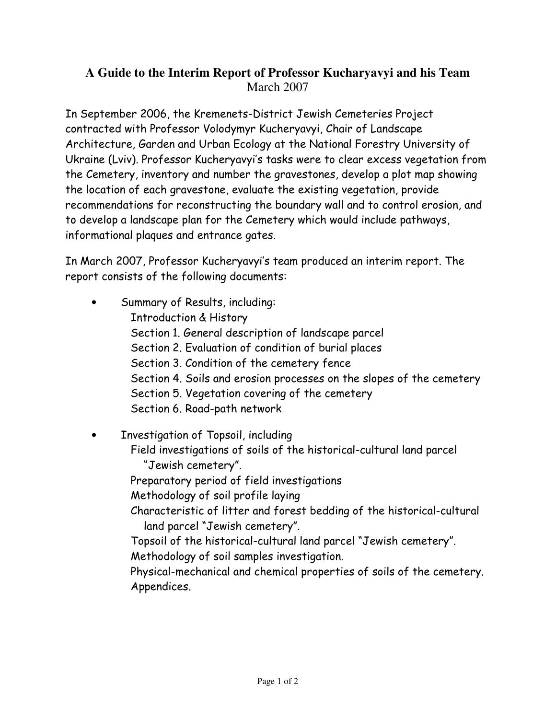## A Guide to the Interim Report of Professor Kucharyavyi and his Team March 2007

In September 2006, the Kremenets-District Jewish Cemeteries Project contracted with Professor Volodymyr Kucheryavyi, Chair of Landscape Architecture, Garden and Urban Ecology at the National Forestry University of Ukraine (Lviv). Professor Kucheryavyi's tasks were to clear excess vegetation from the Cemetery, inventory and number the gravestones, develop a plot map showing the location of each gravestone, evaluate the existing vegetation, provide recommendations for reconstructing the boundary wall and to control erosion, and to develop a landscape plan for the Cemetery which would include pathways, informational plaques and entrance gates.

In March 2007, Professor Kucheryavyi's team produced an interim report. The report consists of the following documents:

Summary of Results, including: **Introduction & History** Section 1. General description of landscape parcel Section 2. Evaluation of condition of burial places Section 3. Condition of the cemetery fence Section 4. Soils and erosion processes on the slopes of the cemetery Section 5. Vegetation covering of the cemetery Section 6. Road-path network

Investigation of Topsoil, including Field investigations of soils of the historical-cultural land parcel "Jewish cemetery". Preparatory period of field investigations Methodology of soil profile laying Characteristic of litter and forest bedding of the historical-cultural land parcel "Jewish cemetery". Topsoil of the historical-cultural land parcel "Jewish cemetery". Methodology of soil samples investigation. Physical-mechanical and chemical properties of soils of the cemetery. Appendices.